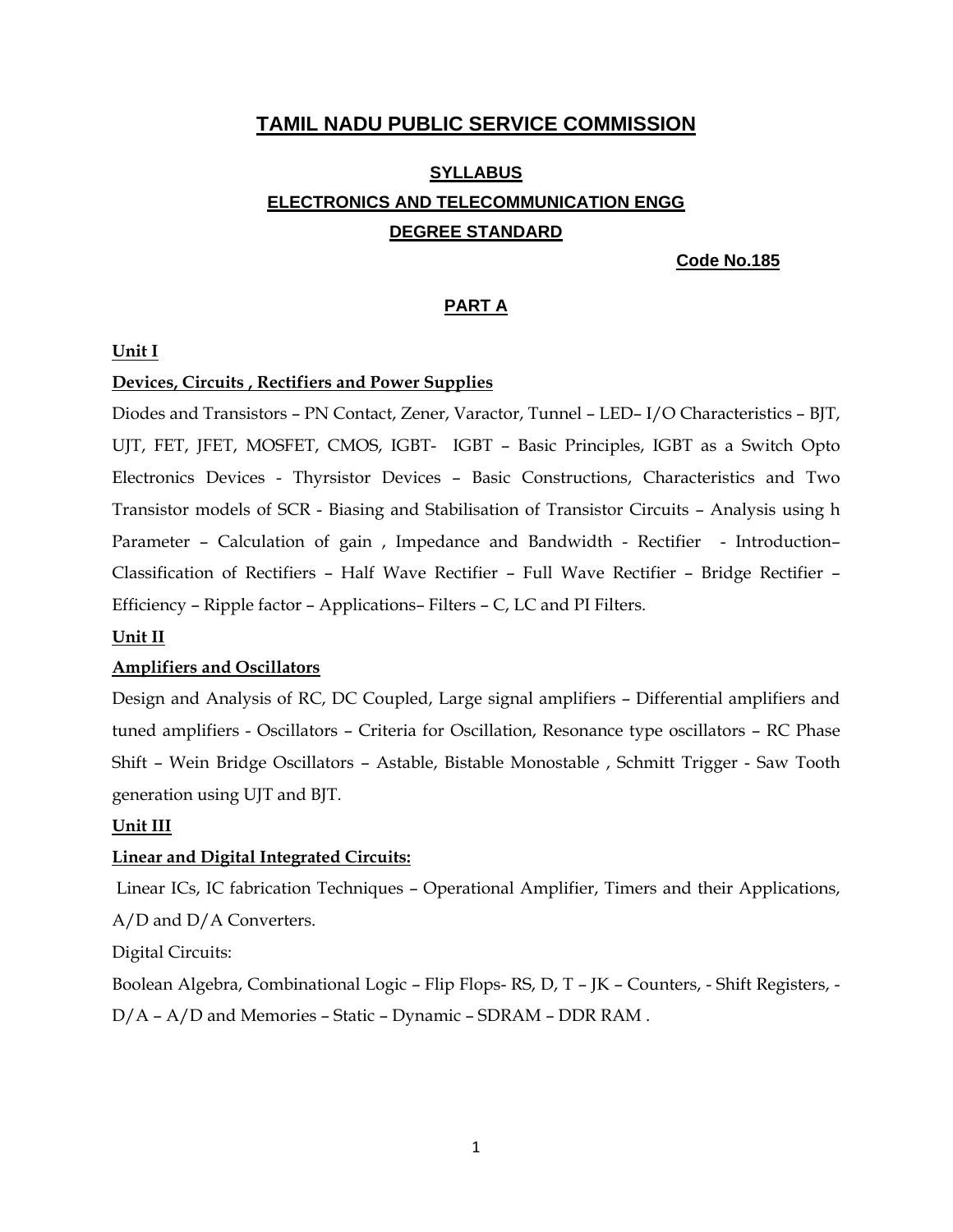## **TAMIL NADU PUBLIC SERVICE COMMISSION**

# **SYLLABUS ELECTRONICS AND TELECOMMUNICATION ENGG DEGREE STANDARD**

 **Code No.185** 

## **PART A**

#### **Unit I**

#### **Devices, Circuits , Rectifiers and Power Supplies**

Diodes and Transistors – PN Contact, Zener, Varactor, Tunnel – LED– I/O Characteristics – BJT, UJT, FET, JFET, MOSFET, CMOS, IGBT- IGBT – Basic Principles, IGBT as a Switch Opto Electronics Devices - Thyrsistor Devices – Basic Constructions, Characteristics and Two Transistor models of SCR - Biasing and Stabilisation of Transistor Circuits – Analysis using h Parameter – Calculation of gain , Impedance and Bandwidth - Rectifier - Introduction– Classification of Rectifiers – Half Wave Rectifier – Full Wave Rectifier – Bridge Rectifier – Efficiency – Ripple factor – Applications– Filters – C, LC and PI Filters.

#### **Unit II**

#### **Amplifiers and Oscillators**

Design and Analysis of RC, DC Coupled, Large signal amplifiers – Differential amplifiers and tuned amplifiers - Oscillators – Criteria for Oscillation, Resonance type oscillators – RC Phase Shift – Wein Bridge Oscillators – Astable, Bistable Monostable , Schmitt Trigger - Saw Tooth generation using UJT and BJT.

#### **Unit III**

#### **Linear and Digital Integrated Circuits:**

 Linear ICs, IC fabrication Techniques – Operational Amplifier, Timers and their Applications, A/D and D/A Converters.

Digital Circuits:

Boolean Algebra, Combinational Logic – Flip Flops- RS, D, T – JK – Counters, - Shift Registers, - D/A – A/D and Memories – Static – Dynamic – SDRAM – DDR RAM .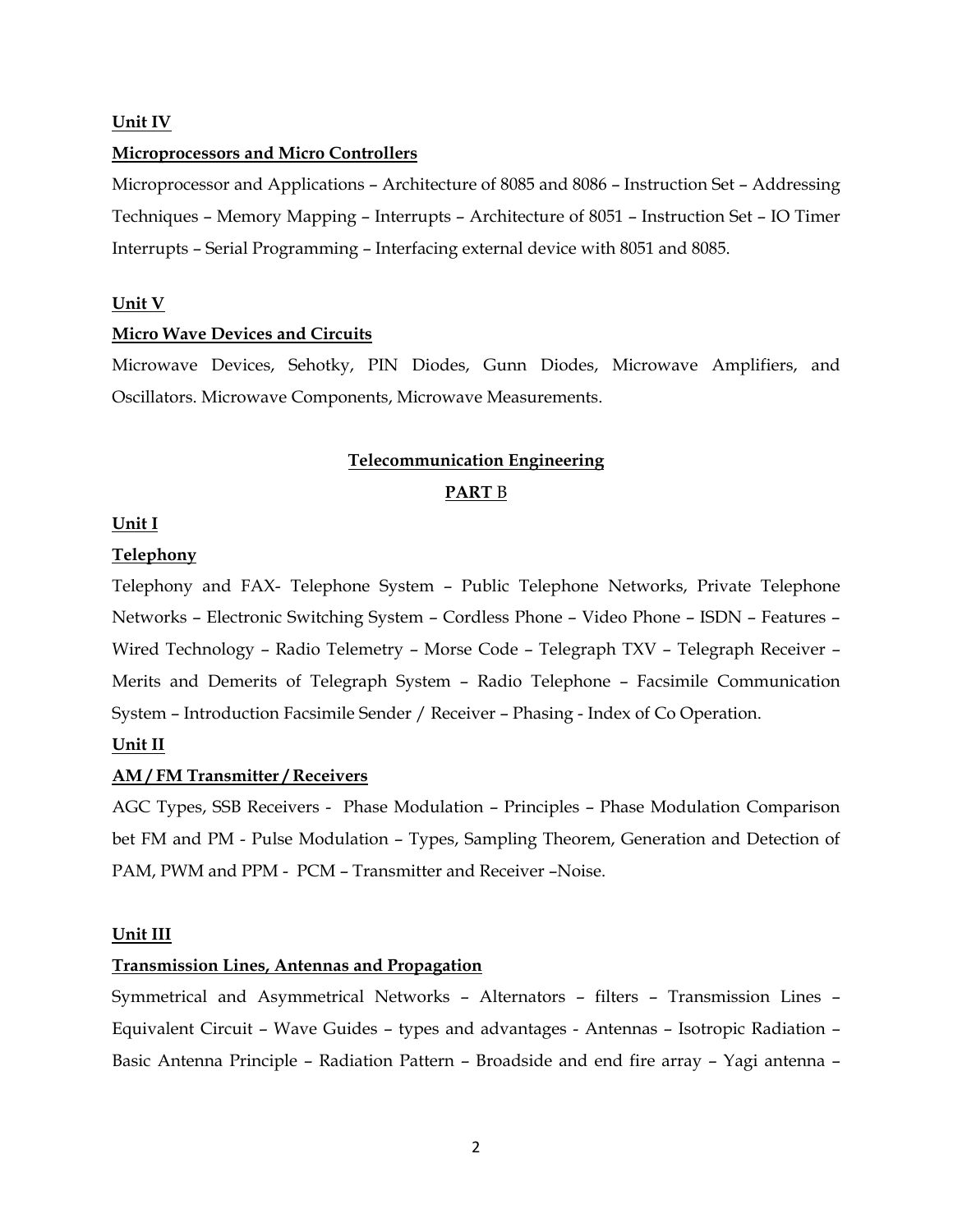#### **Unit IV**

#### **Microprocessors and Micro Controllers**

Microprocessor and Applications – Architecture of 8085 and 8086 – Instruction Set – Addressing Techniques – Memory Mapping – Interrupts – Architecture of 8051 – Instruction Set – IO Timer Interrupts – Serial Programming – Interfacing external device with 8051 and 8085.

#### **Unit V**

#### **Micro Wave Devices and Circuits**

Microwave Devices, Sehotky, PIN Diodes, Gunn Diodes, Microwave Amplifiers, and Oscillators. Microwave Components, Microwave Measurements.

## **Telecommunication Engineering PART** B

#### **Unit I**

#### **Telephony**

Telephony and FAX- Telephone System – Public Telephone Networks, Private Telephone Networks – Electronic Switching System – Cordless Phone – Video Phone – ISDN – Features – Wired Technology – Radio Telemetry – Morse Code – Telegraph TXV – Telegraph Receiver – Merits and Demerits of Telegraph System – Radio Telephone – Facsimile Communication System – Introduction Facsimile Sender / Receiver – Phasing - Index of Co Operation.

#### **Unit II**

#### **AM / FM Transmitter / Receivers**

AGC Types, SSB Receivers - Phase Modulation – Principles – Phase Modulation Comparison bet FM and PM - Pulse Modulation – Types, Sampling Theorem, Generation and Detection of PAM, PWM and PPM - PCM – Transmitter and Receiver –Noise.

#### **Unit III**

#### **Transmission Lines, Antennas and Propagation**

Symmetrical and Asymmetrical Networks – Alternators – filters – Transmission Lines – Equivalent Circuit – Wave Guides – types and advantages - Antennas – Isotropic Radiation – Basic Antenna Principle – Radiation Pattern – Broadside and end fire array – Yagi antenna –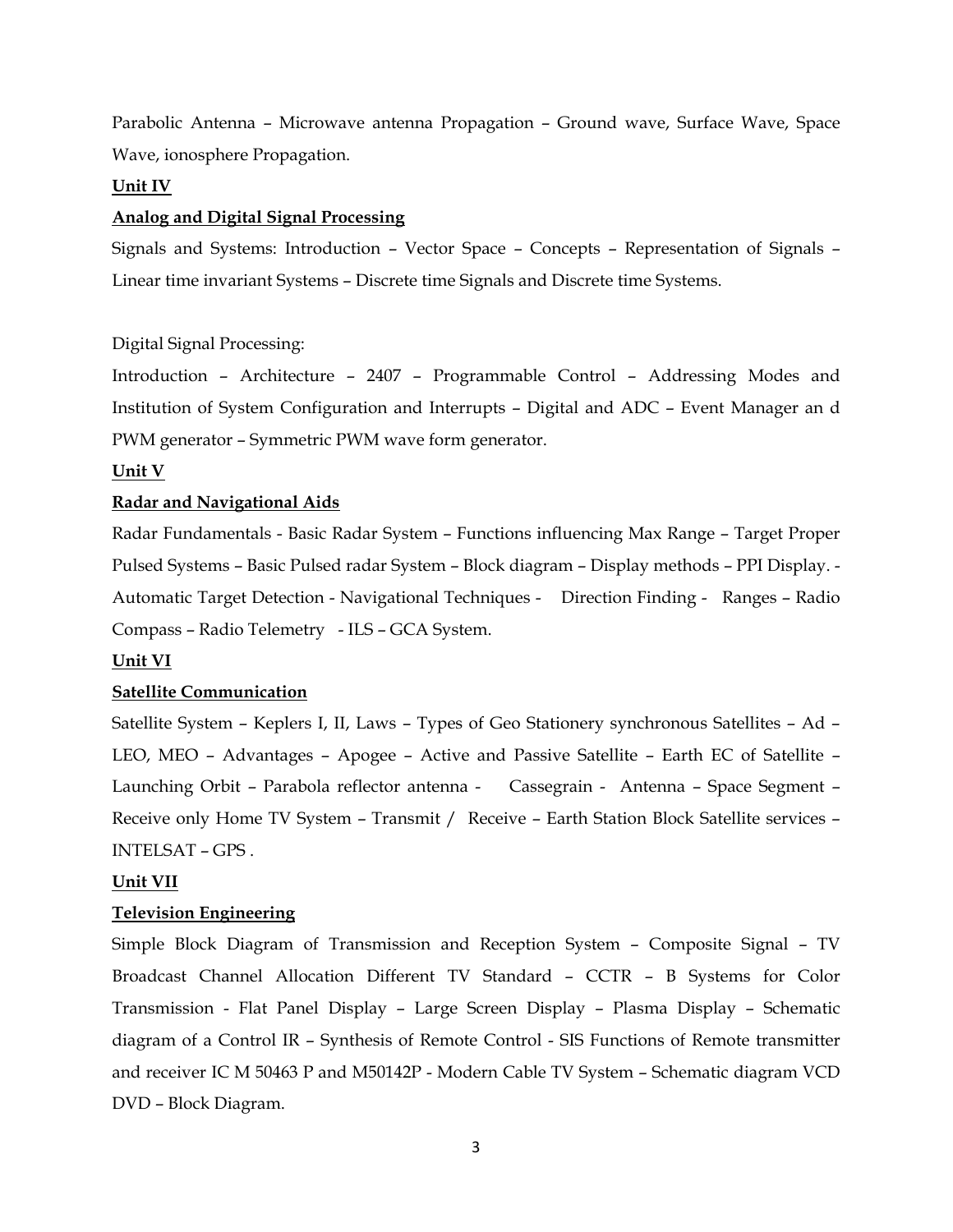Parabolic Antenna – Microwave antenna Propagation – Ground wave, Surface Wave, Space Wave, ionosphere Propagation.

## **Unit IV**

## **Analog and Digital Signal Processing**

Signals and Systems: Introduction – Vector Space – Concepts – Representation of Signals – Linear time invariant Systems – Discrete time Signals and Discrete time Systems.

## Digital Signal Processing:

Introduction – Architecture – 2407 – Programmable Control – Addressing Modes and Institution of System Configuration and Interrupts – Digital and ADC – Event Manager an d PWM generator – Symmetric PWM wave form generator.

## **Unit V**

## **Radar and Navigational Aids**

Radar Fundamentals - Basic Radar System – Functions influencing Max Range – Target Proper Pulsed Systems – Basic Pulsed radar System – Block diagram – Display methods – PPI Display. - Automatic Target Detection - Navigational Techniques - Direction Finding - Ranges – Radio Compass – Radio Telemetry - ILS – GCA System.

## **Unit VI**

## **Satellite Communication**

Satellite System – Keplers I, II, Laws – Types of Geo Stationery synchronous Satellites – Ad – LEO, MEO – Advantages – Apogee – Active and Passive Satellite – Earth EC of Satellite – Launching Orbit – Parabola reflector antenna - Cassegrain - Antenna – Space Segment – Receive only Home TV System – Transmit / Receive – Earth Station Block Satellite services – INTELSAT – GPS .

## **Unit VII**

## **Television Engineering**

Simple Block Diagram of Transmission and Reception System – Composite Signal – TV Broadcast Channel Allocation Different TV Standard – CCTR – B Systems for Color Transmission - Flat Panel Display – Large Screen Display – Plasma Display – Schematic diagram of a Control IR – Synthesis of Remote Control - SIS Functions of Remote transmitter and receiver IC M 50463 P and M50142P - Modern Cable TV System – Schematic diagram VCD DVD – Block Diagram.